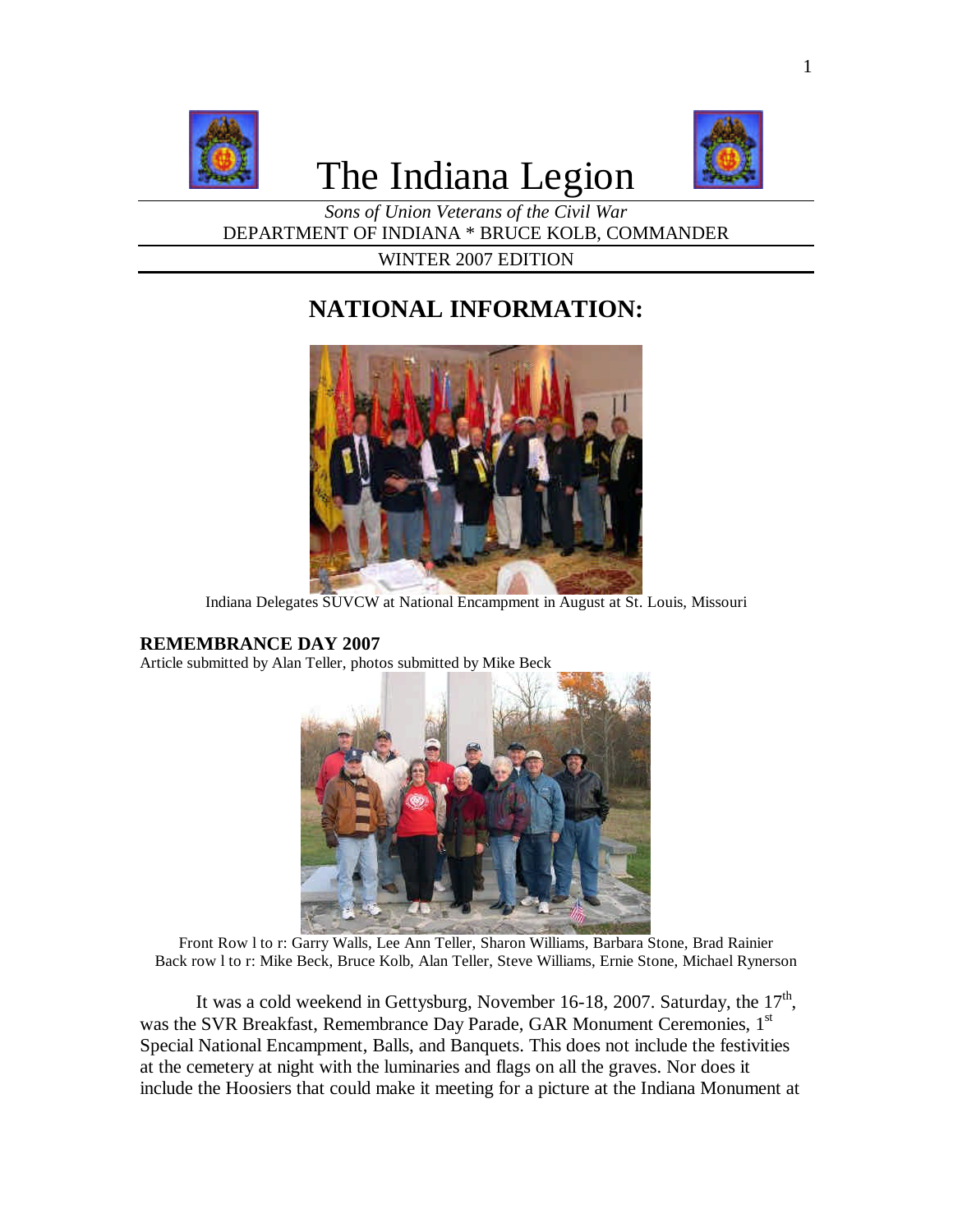

# The Indiana Legion



*Sons of Union Veterans of the Civil War* DEPARTMENT OF INDIANA \* BRUCE KOLB, COMMANDER

WINTER 2007 EDITION

# **NATIONAL INFORMATION:**



Indiana Delegates SUVCW at National Encampment in August at St. Louis, Missouri

#### **REMEMBRANCE DAY 2007**

Article submitted by Alan Teller, photos submitted by Mike Beck



Front Row l to r: Garry Walls, Lee Ann Teller, Sharon Williams, Barbara Stone, Brad Rainier Back row l to r: Mike Beck, Bruce Kolb, Alan Teller, Steve Williams, Ernie Stone, Michael Rynerson

It was a cold weekend in Gettysburg, November 16-18, 2007. Saturday, the  $17<sup>th</sup>$ , was the SVR Breakfast, Remembrance Day Parade, GAR Monument Ceremonies, 1<sup>st</sup> Special National Encampment, Balls, and Banquets. This does not include the festivities at the cemetery at night with the luminaries and flags on all the graves. Nor does it include the Hoosiers that could make it meeting for a picture at the Indiana Monument at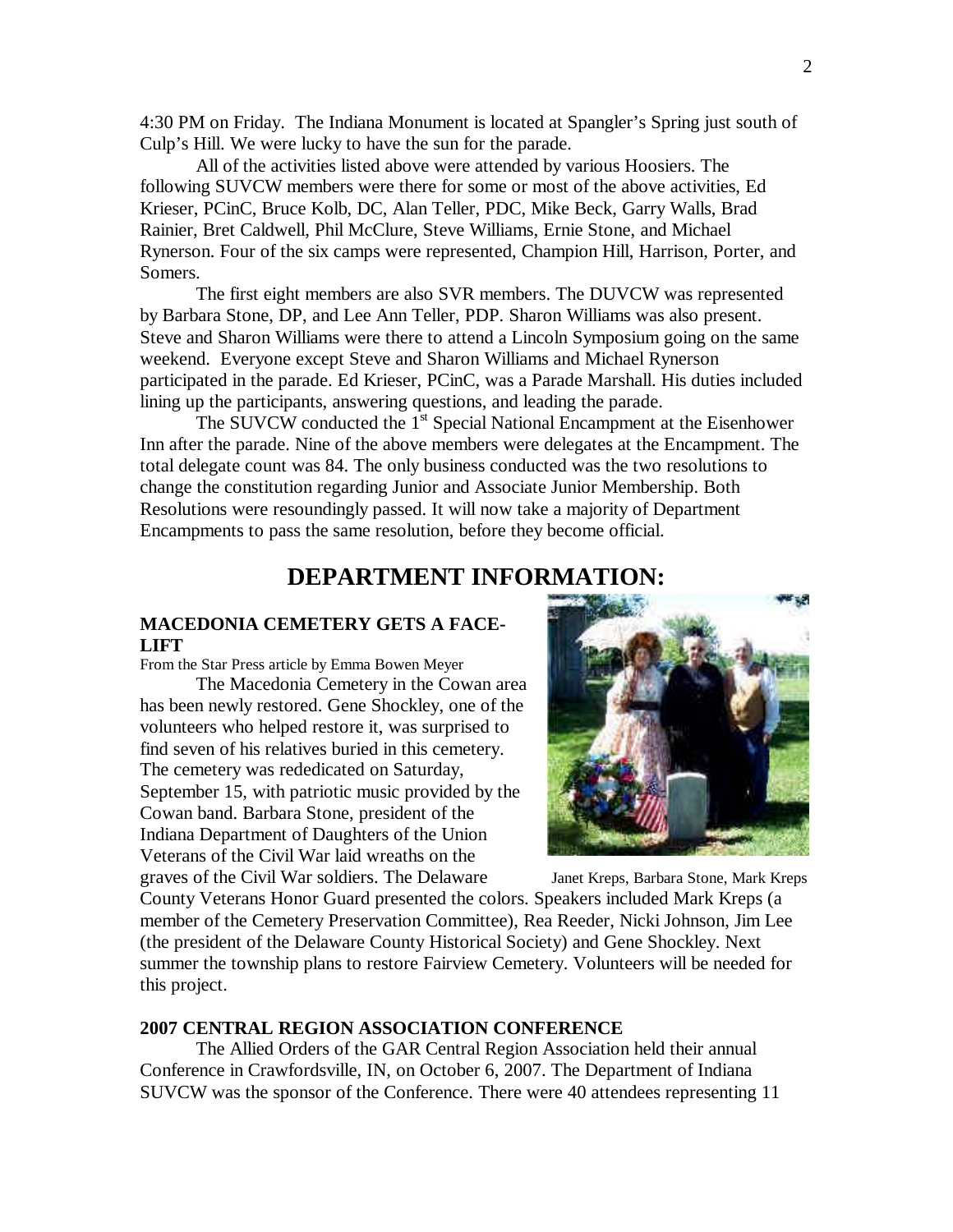4:30 PM on Friday. The Indiana Monument is located at Spangler's Spring just south of Culp's Hill. We were lucky to have the sun for the parade.

All of the activities listed above were attended by various Hoosiers. The following SUVCW members were there for some or most of the above activities, Ed Krieser, PCinC, Bruce Kolb, DC, Alan Teller, PDC, Mike Beck, Garry Walls, Brad Rainier, Bret Caldwell, Phil McClure, Steve Williams, Ernie Stone, and Michael Rynerson. Four of the six camps were represented, Champion Hill, Harrison, Porter, and Somers.

The first eight members are also SVR members. The DUVCW was represented by Barbara Stone, DP, and Lee Ann Teller, PDP. Sharon Williams was also present. Steve and Sharon Williams were there to attend a Lincoln Symposium going on the same weekend. Everyone except Steve and Sharon Williams and Michael Rynerson participated in the parade. Ed Krieser, PCinC, was a Parade Marshall. His duties included lining up the participants, answering questions, and leading the parade.

The SUVCW conducted the  $1<sup>st</sup>$  Special National Encampment at the Eisenhower Inn after the parade. Nine of the above members were delegates at the Encampment. The total delegate count was 84. The only business conducted was the two resolutions to change the constitution regarding Junior and Associate Junior Membership. Both Resolutions were resoundingly passed. It will now take a majority of Department Encampments to pass the same resolution, before they become official.

### **DEPARTMENT INFORMATION:**

#### **MACEDONIA CEMETERY GETS A FACE-LIFT**

From the Star Press article by Emma Bowen Meyer

The Macedonia Cemetery in the Cowan area has been newly restored. Gene Shockley, one of the volunteers who helped restore it, was surprised to find seven of his relatives buried in this cemetery. The cemetery was rededicated on Saturday, September 15, with patriotic music provided by the Cowan band. Barbara Stone, president of the Indiana Department of Daughters of the Union Veterans of the Civil War laid wreaths on the graves of the Civil War soldiers. The Delaware Janet Kreps, Barbara Stone, Mark Kreps



County Veterans Honor Guard presented the colors. Speakers included Mark Kreps (a member of the Cemetery Preservation Committee), Rea Reeder, Nicki Johnson, Jim Lee (the president of the Delaware County Historical Society) and Gene Shockley. Next summer the township plans to restore Fairview Cemetery. Volunteers will be needed for this project.

#### **2007 CENTRAL REGION ASSOCIATION CONFERENCE**

The Allied Orders of the GAR Central Region Association held their annual Conference in Crawfordsville, IN, on October 6, 2007. The Department of Indiana SUVCW was the sponsor of the Conference. There were 40 attendees representing 11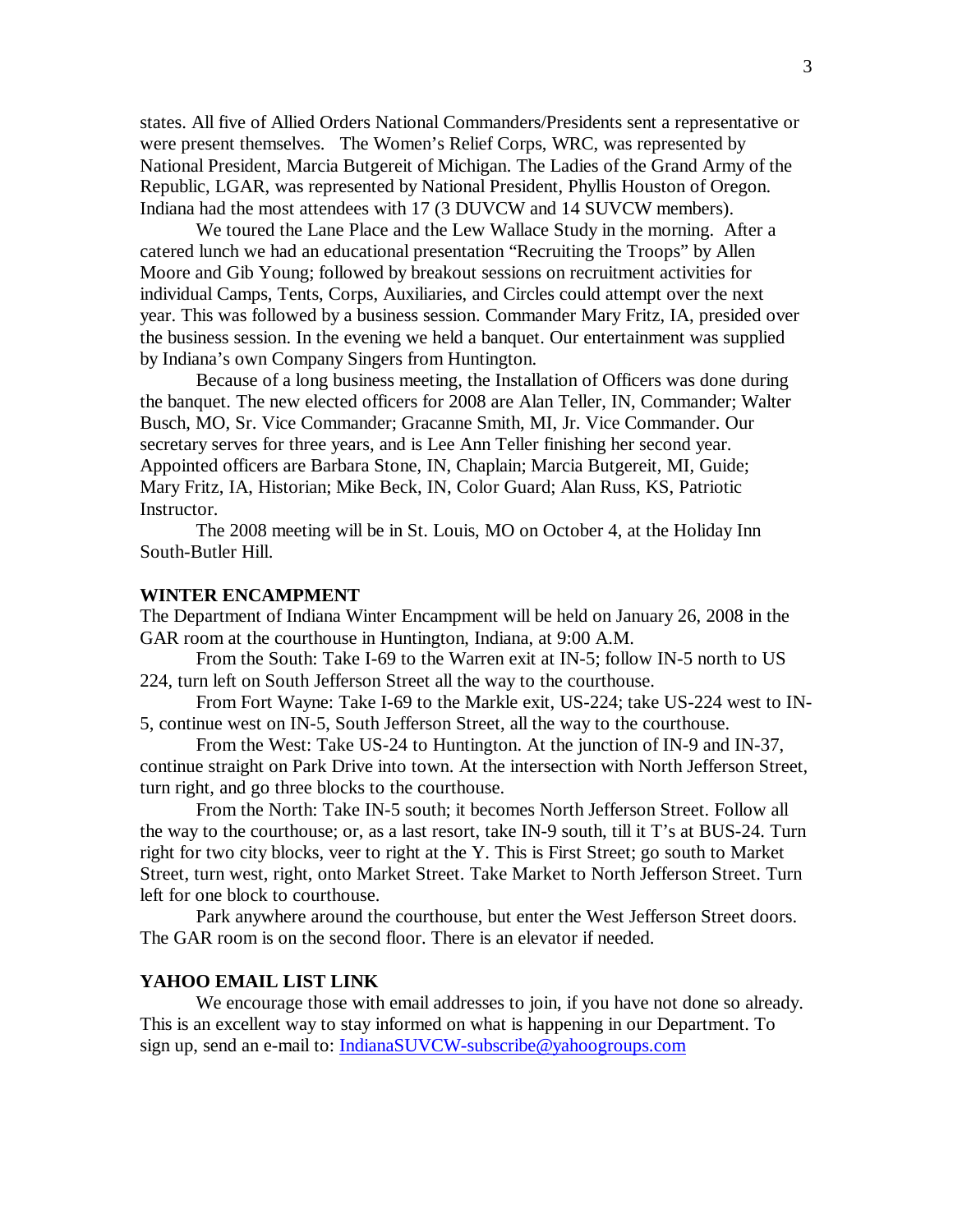states. All five of Allied Orders National Commanders/Presidents sent a representative or were present themselves. The Women's Relief Corps, WRC, was represented by National President, Marcia Butgereit of Michigan. The Ladies of the Grand Army of the Republic, LGAR, was represented by National President, Phyllis Houston of Oregon. Indiana had the most attendees with 17 (3 DUVCW and 14 SUVCW members).

We toured the Lane Place and the Lew Wallace Study in the morning. After a catered lunch we had an educational presentation "Recruiting the Troops" by Allen Moore and Gib Young; followed by breakout sessions on recruitment activities for individual Camps, Tents, Corps, Auxiliaries, and Circles could attempt over the next year. This was followed by a business session. Commander Mary Fritz, IA, presided over the business session. In the evening we held a banquet. Our entertainment was supplied by Indiana's own Company Singers from Huntington.

Because of a long business meeting, the Installation of Officers was done during the banquet. The new elected officers for 2008 are Alan Teller, IN, Commander; Walter Busch, MO, Sr. Vice Commander; Gracanne Smith, MI, Jr. Vice Commander. Our secretary serves for three years, and is Lee Ann Teller finishing her second year. Appointed officers are Barbara Stone, IN, Chaplain; Marcia Butgereit, MI, Guide; Mary Fritz, IA, Historian; Mike Beck, IN, Color Guard; Alan Russ, KS, Patriotic Instructor.

The 2008 meeting will be in St. Louis, MO on October 4, at the Holiday Inn South-Butler Hill.

#### **WINTER ENCAMPMENT**

The Department of Indiana Winter Encampment will be held on January 26, 2008 in the GAR room at the courthouse in Huntington, Indiana, at 9:00 A.M.

From the South: Take I-69 to the Warren exit at IN-5; follow IN-5 north to US 224, turn left on South Jefferson Street all the way to the courthouse.

From Fort Wayne: Take I-69 to the Markle exit, US-224; take US-224 west to IN-5, continue west on IN-5, South Jefferson Street, all the way to the courthouse.

From the West: Take US-24 to Huntington. At the junction of IN-9 and IN-37, continue straight on Park Drive into town. At the intersection with North Jefferson Street, turn right, and go three blocks to the courthouse.

From the North: Take IN-5 south; it becomes North Jefferson Street. Follow all the way to the courthouse; or, as a last resort, take IN-9 south, till it T's at BUS-24. Turn right for two city blocks, veer to right at the Y. This is First Street; go south to Market Street, turn west, right, onto Market Street. Take Market to North Jefferson Street. Turn left for one block to courthouse.

Park anywhere around the courthouse, but enter the West Jefferson Street doors. The GAR room is on the second floor. There is an elevator if needed.

#### **YAHOO EMAIL LIST LINK**

We encourage those with email addresses to join, if you have not done so already. This is an excellent way to stay informed on what is happening in our Department. To sign up, send an e-mail to: IndianaSUVCW-subscribe@yahoogroups.com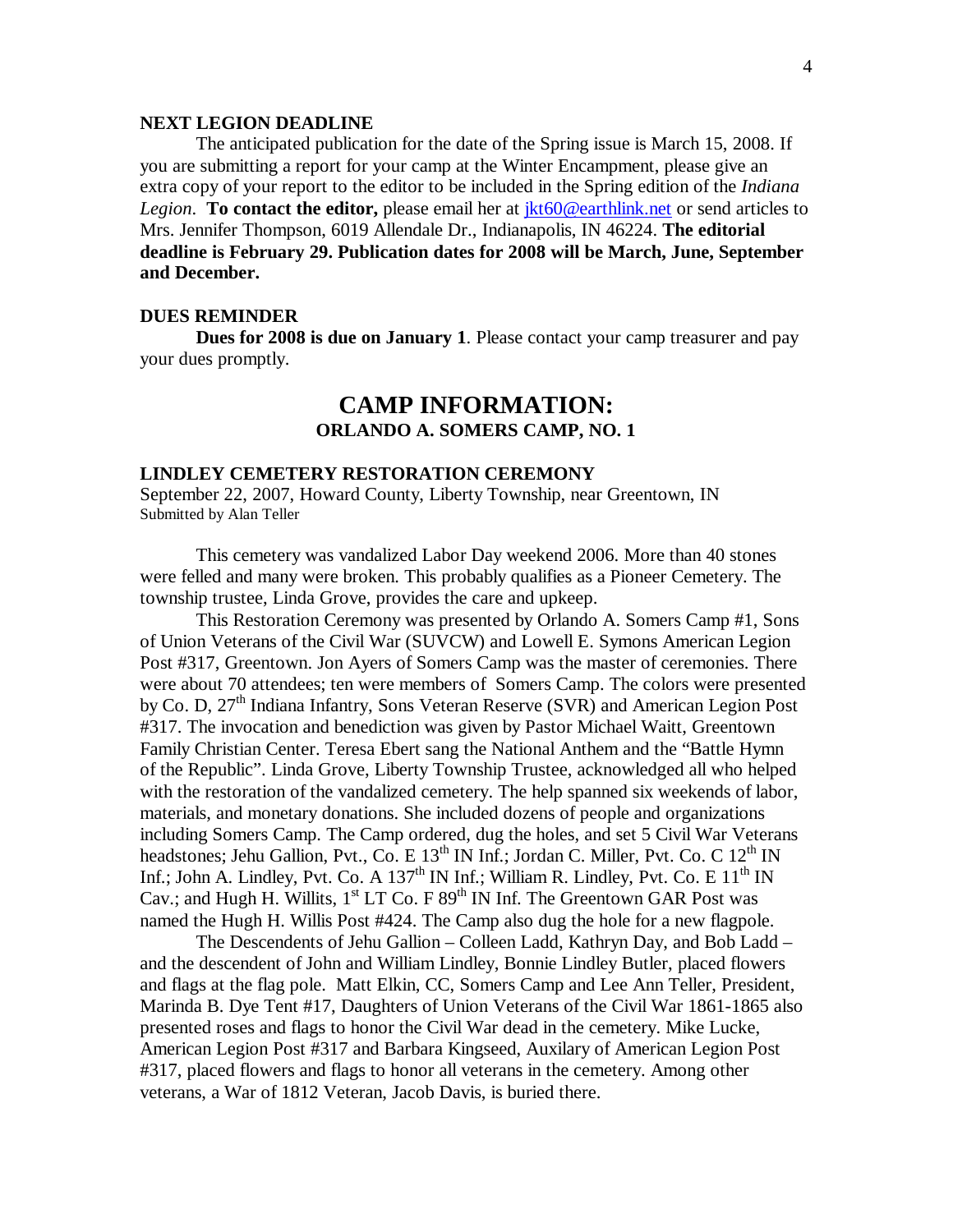#### **NEXT LEGION DEADLINE**

The anticipated publication for the date of the Spring issue is March 15, 2008. If you are submitting a report for your camp at the Winter Encampment, please give an extra copy of your report to the editor to be included in the Spring edition of the *Indiana Legion*. **To contact the editor,** please email her at jkt60@earthlink.net or send articles to Mrs. Jennifer Thompson, 6019 Allendale Dr., Indianapolis, IN 46224. **The editorial deadline is February 29. Publication dates for 2008 will be March, June, September and December.**

#### **DUES REMINDER**

**Dues for 2008 is due on January 1**. Please contact your camp treasurer and pay your dues promptly.

### **CAMP INFORMATION: ORLANDO A. SOMERS CAMP, NO. 1**

#### **LINDLEY CEMETERY RESTORATION CEREMONY**

September 22, 2007, Howard County, Liberty Township, near Greentown, IN Submitted by Alan Teller

This cemetery was vandalized Labor Day weekend 2006. More than 40 stones were felled and many were broken. This probably qualifies as a Pioneer Cemetery. The township trustee, Linda Grove, provides the care and upkeep.

This Restoration Ceremony was presented by Orlando A. Somers Camp #1, Sons of Union Veterans of the Civil War (SUVCW) and Lowell E. Symons American Legion Post #317, Greentown. Jon Ayers of Somers Camp was the master of ceremonies. There were about 70 attendees; ten were members of Somers Camp. The colors were presented by Co. D, 27<sup>th</sup> Indiana Infantry, Sons Veteran Reserve (SVR) and American Legion Post #317. The invocation and benediction was given by Pastor Michael Waitt, Greentown Family Christian Center. Teresa Ebert sang the National Anthem and the "Battle Hymn of the Republic". Linda Grove, Liberty Township Trustee, acknowledged all who helped with the restoration of the vandalized cemetery. The help spanned six weekends of labor, materials, and monetary donations. She included dozens of people and organizations including Somers Camp. The Camp ordered, dug the holes, and set 5 Civil War Veterans headstones; Jehu Gallion, Pvt., Co. E  $13<sup>th</sup>$  IN Inf.; Jordan C. Miller, Pvt. Co. C  $12<sup>th</sup>$  IN Inf.; John A. Lindley, Pvt. Co. A  $137<sup>th</sup>$  IN Inf.; William R. Lindley, Pvt. Co. E  $11<sup>th</sup>$  IN Cav.; and Hugh H. Willits,  $1<sup>st</sup> LT$  Co. F 89<sup>th</sup> IN Inf. The Greentown GAR Post was named the Hugh H. Willis Post #424. The Camp also dug the hole for a new flagpole.

The Descendents of Jehu Gallion – Colleen Ladd, Kathryn Day, and Bob Ladd – and the descendent of John and William Lindley, Bonnie Lindley Butler, placed flowers and flags at the flag pole. Matt Elkin, CC, Somers Camp and Lee Ann Teller, President, Marinda B. Dye Tent #17, Daughters of Union Veterans of the Civil War 1861-1865 also presented roses and flags to honor the Civil War dead in the cemetery. Mike Lucke, American Legion Post #317 and Barbara Kingseed, Auxilary of American Legion Post #317, placed flowers and flags to honor all veterans in the cemetery. Among other veterans, a War of 1812 Veteran, Jacob Davis, is buried there.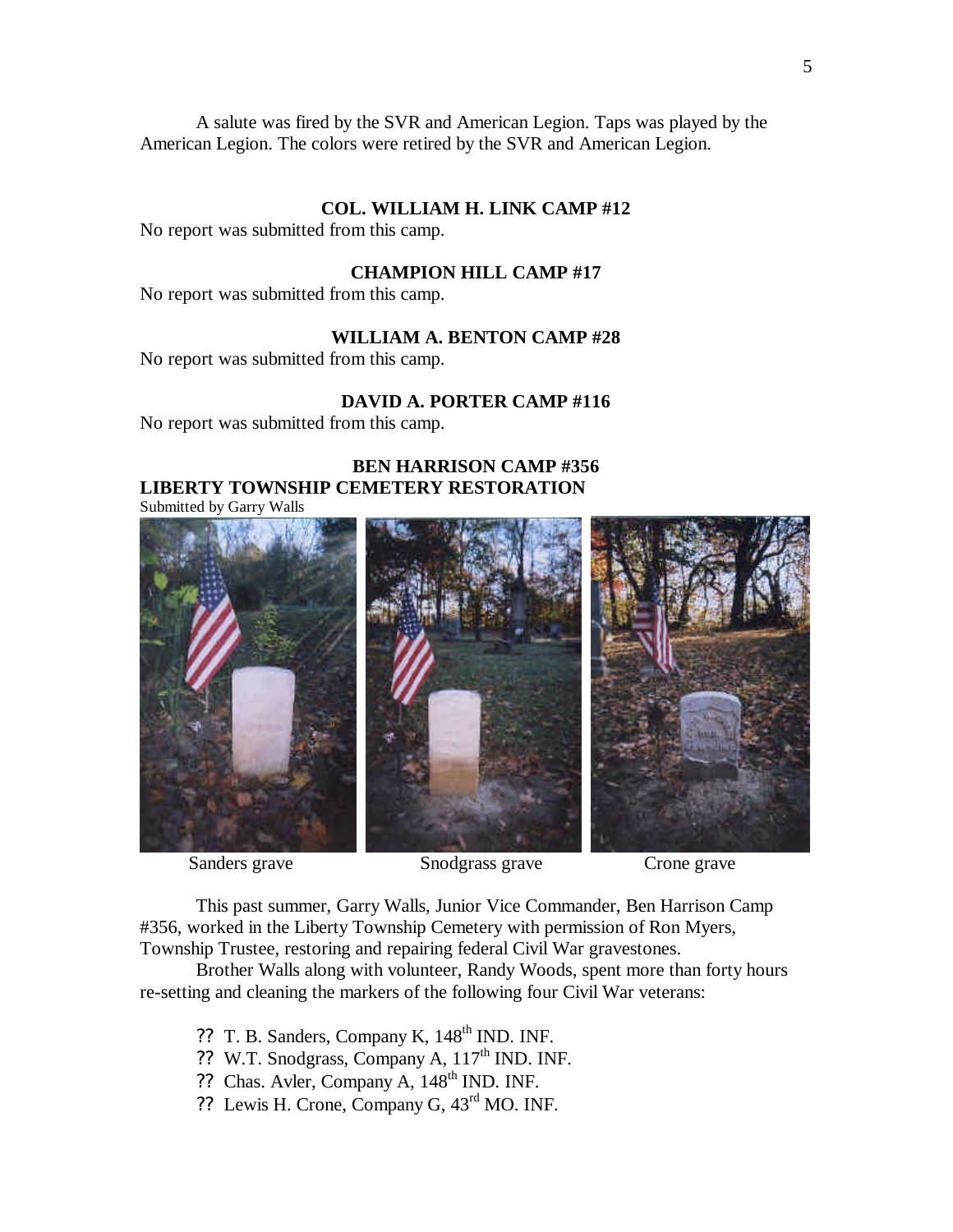A salute was fired by the SVR and American Legion. Taps was played by the American Legion. The colors were retired by the SVR and American Legion.

#### **COL. WILLIAM H. LINK CAMP #12**

No report was submitted from this camp.

#### **CHAMPION HILL CAMP #17**

No report was submitted from this camp.

#### **WILLIAM A. BENTON CAMP #28**

No report was submitted from this camp.

#### **DAVID A. PORTER CAMP #116**

No report was submitted from this camp.

#### **BEN HARRISON CAMP #356 LIBERTY TOWNSHIP CEMETERY RESTORATION** Submitted by Garry Walls





This past summer, Garry Walls, Junior Vice Commander, Ben Harrison Camp #356, worked in the Liberty Township Cemetery with permission of Ron Myers, Township Trustee, restoring and repairing federal Civil War gravestones.

Brother Walls along with volunteer, Randy Woods, spent more than forty hours re-setting and cleaning the markers of the following four Civil War veterans:

- ?? T. B. Sanders, Company K, 148<sup>th</sup> IND. INF.
- ?? W.T. Snodgrass, Company A, 117<sup>th</sup> IND. INF.
- ?? Chas. Avler, Company A, 148<sup>th</sup> IND. INF.
- ?? Lewis H. Crone, Company G, 43rd MO. INF.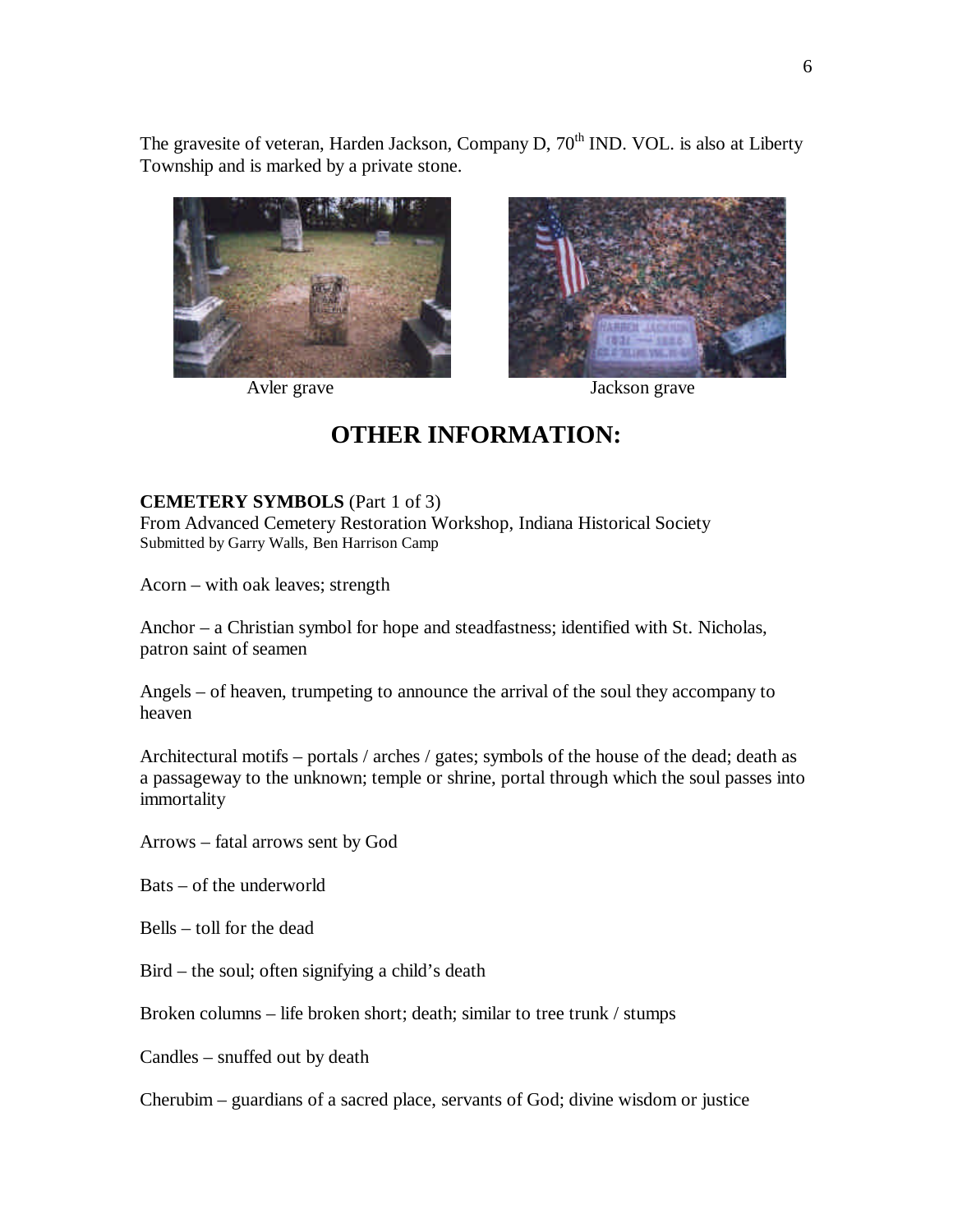The gravesite of veteran, Harden Jackson, Company D, 70<sup>th</sup> IND. VOL. is also at Liberty Township and is marked by a private stone.





Avler grave Jackson grave

## **OTHER INFORMATION:**

#### **CEMETERY SYMBOLS** (Part 1 of 3)

From Advanced Cemetery Restoration Workshop, Indiana Historical Society Submitted by Garry Walls, Ben Harrison Camp

Acorn – with oak leaves; strength

Anchor – a Christian symbol for hope and steadfastness; identified with St. Nicholas, patron saint of seamen

Angels – of heaven, trumpeting to announce the arrival of the soul they accompany to heaven

Architectural motifs – portals / arches / gates; symbols of the house of the dead; death as a passageway to the unknown; temple or shrine, portal through which the soul passes into immortality

Arrows – fatal arrows sent by God

Bats – of the underworld

Bells – toll for the dead

Bird – the soul; often signifying a child's death

Broken columns – life broken short; death; similar to tree trunk / stumps

Candles – snuffed out by death

Cherubim – guardians of a sacred place, servants of God; divine wisdom or justice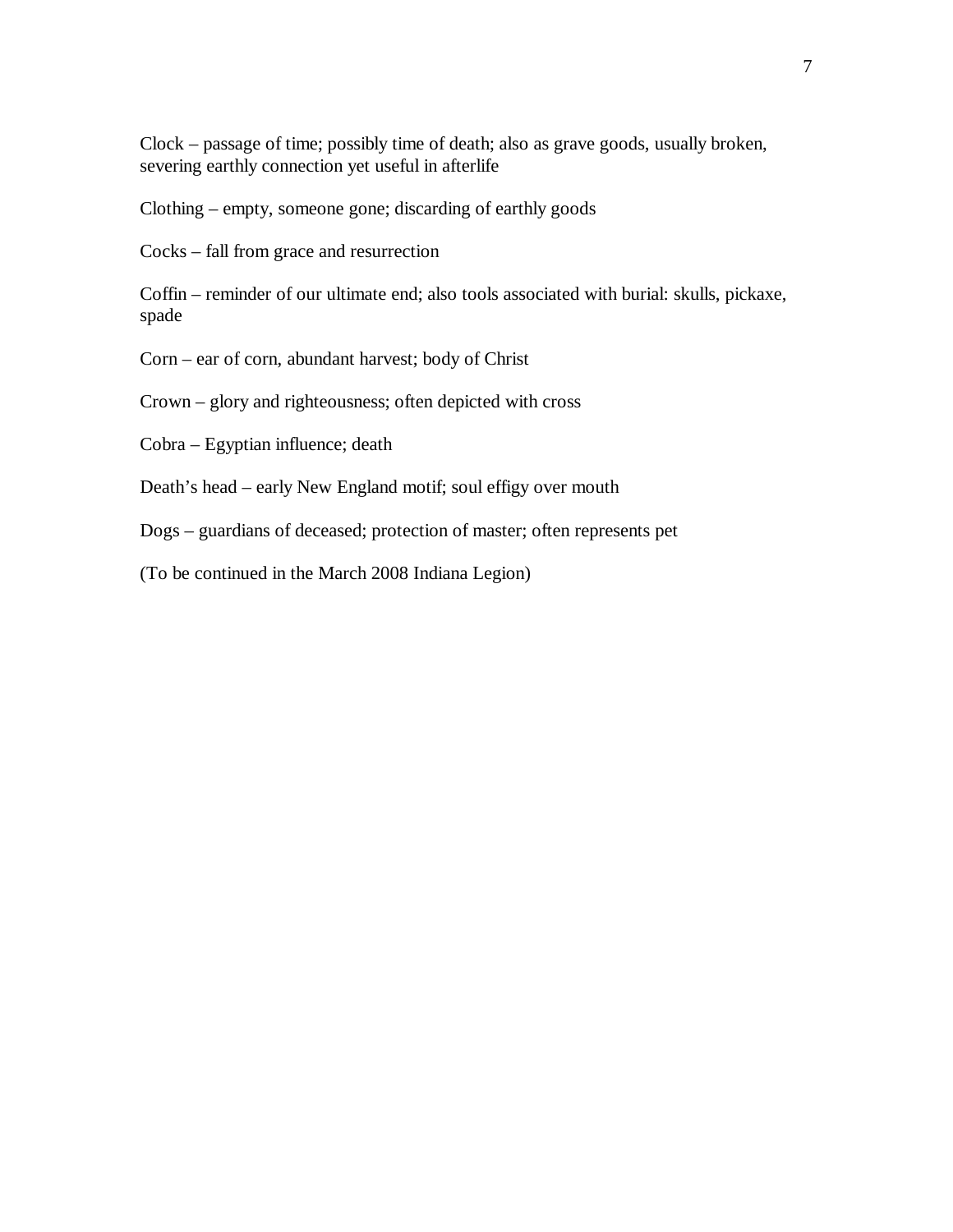Clock – passage of time; possibly time of death; also as grave goods, usually broken, severing earthly connection yet useful in afterlife

Clothing – empty, someone gone; discarding of earthly goods

Cocks – fall from grace and resurrection

Coffin – reminder of our ultimate end; also tools associated with burial: skulls, pickaxe, spade

Corn – ear of corn, abundant harvest; body of Christ

Crown – glory and righteousness; often depicted with cross

Cobra – Egyptian influence; death

Death's head – early New England motif; soul effigy over mouth

Dogs – guardians of deceased; protection of master; often represents pet

(To be continued in the March 2008 Indiana Legion)